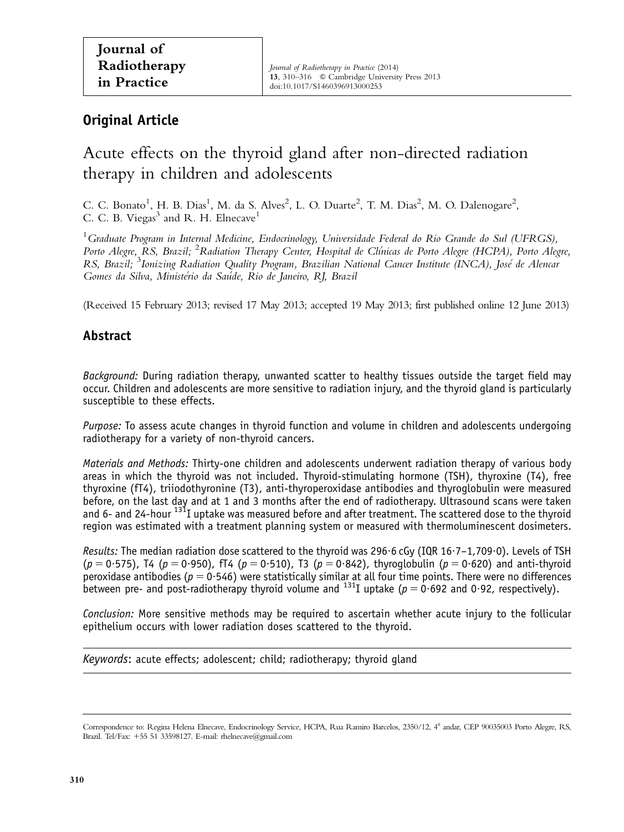## Original Article

# Acute effects on the thyroid gland after non-directed radiation therapy in children and adolescents

C. C. Bonato<sup>1</sup>, H. B. Dias<sup>1</sup>, M. da S. Alves<sup>2</sup>, L. O. Duarte<sup>2</sup>, T. M. Dias<sup>2</sup>, M. O. Dalenogare<sup>2</sup>, C. C. B. Viegas $<sup>3</sup>$  and R. H. Elnecave<sup>1</sup></sup>

 $^1$ Graduate Program in Internal Medicine, Endocrinology, Universidade Federal do Rio Grande do Sul (UFRGS), Porto Alegre, RS, Brazil; <sup>2</sup>Radiation Therapy Center, Hospital de Clínicas de Porto Alegre (HCPA), Porto Alegre, RS, Brazil; <sup>3</sup>Ionizing Radiation Quality Program, Brazilian National Cancer Institute (INCA), José de Alencar Gomes da Silva, Ministério da Saúde, Rio de Janeiro, RJ, Brazil

(Received 15 February 2013; revised 17 May 2013; accepted 19 May 2013; first published online 12 June 2013)

### Abstract

Background: During radiation therapy, unwanted scatter to healthy tissues outside the target field may occur. Children and adolescents are more sensitive to radiation injury, and the thyroid gland is particularly susceptible to these effects.

Purpose: To assess acute changes in thyroid function and volume in children and adolescents undergoing radiotherapy for a variety of non-thyroid cancers.

Materials and Methods: Thirty-one children and adolescents underwent radiation therapy of various body areas in which the thyroid was not included. Thyroid-stimulating hormone (TSH), thyroxine (T4), free thyroxine (fT4), triiodothyronine (T3), anti-thyroperoxidase antibodies and thyroglobulin were measured before, on the last day and at 1 and 3 months after the end of radiotherapy. Ultrasound scans were taken and 6- and 24-hour  $^{131}$ I uptake was measured before and after treatment. The scattered dose to the thyroid region was estimated with a treatment planning system or measured with thermoluminescent dosimeters.

Results: The median radiation dose scattered to the thyroid was 296.6 cGy (IQR 16.7–1,709.0). Levels of TSH  $(p = 0.575)$ , T4 (p = 0.950), fT4 (p = 0.510), T3 (p = 0.842), thyroglobulin (p = 0.620) and anti-thyroid peroxidase antibodies ( $p = 0.546$ ) were statistically similar at all four time points. There were no differences between pre- and post-radiotherapy thyroid volume and  $^{131}I$  uptake ( $p = 0.692$  and 0.92, respectively).

Conclusion: More sensitive methods may be required to ascertain whether acute injury to the follicular epithelium occurs with lower radiation doses scattered to the thyroid.

Keywords: acute effects; adolescent; child; radiotherapy; thyroid qland

Correspondence to: Regina Helena Elnecave, Endocrinology Service, HCPA, Rua Ramiro Barcelos, 2350/12, 4° andar, CEP 90035003 Porto Alegre, RS, Brazil. Tel/Fax:  $+55$  51 33598127. E-mail: rhelnecave@gmail.com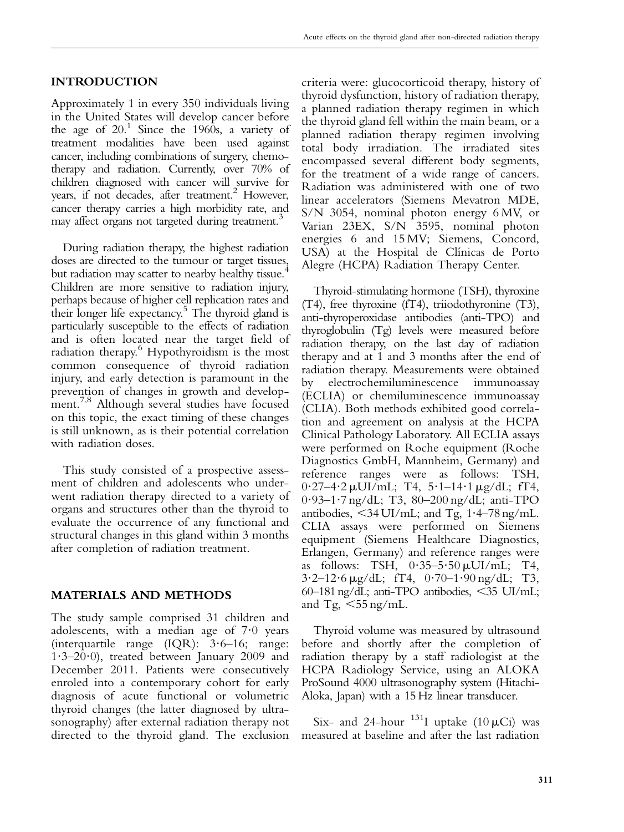#### INTRODUCTION

Approximately 1 in every 350 individuals living in the United States will develop cancer before the age of  $20<sup>1</sup>$  Since the 1960s, a variety of treatment modalities have been used against cancer, including combinations of surgery, chemotherapy and radiation. Currently, over 70% of children diagnosed with cancer will survive for years, if not decades, after treatment.<sup>2</sup> However, cancer therapy carries a high morbidity rate, and may affect organs not targeted during treatment.<sup>3</sup>

During radiation therapy, the highest radiation doses are directed to the tumour or target tissues, but radiation may scatter to nearby healthy tissue.<sup>[4](#page-6-0)</sup> Children are more sensitive to radiation injury, perhaps because of higher cell replication rates and their longer life expectancy.<sup>5</sup> The thyroid gland is particularly susceptible to the effects of radiation and is often located near the target field of radiation therapy.<sup>[6](#page-6-0)</sup> Hypothyroidism is the most common consequence of thyroid radiation injury, and early detection is paramount in the prevention of changes in growth and develop-ment.<sup>[7,8](#page-6-0)</sup> Although several studies have focused on this topic, the exact timing of these changes is still unknown, as is their potential correlation with radiation doses.

This study consisted of a prospective assessment of children and adolescents who underwent radiation therapy directed to a variety of organs and structures other than the thyroid to evaluate the occurrence of any functional and structural changes in this gland within 3 months after completion of radiation treatment.

#### MATERIALS AND METHODS

The study sample comprised 31 children and adolescents, with a median age of  $7.0$  years (interquartile range  $(IQR)$ : 3.6–16; range:  $1.3-20.0$ , treated between January 2009 and December 2011. Patients were consecutively enroled into a contemporary cohort for early diagnosis of acute functional or volumetric thyroid changes (the latter diagnosed by ultrasonography) after external radiation therapy not directed to the thyroid gland. The exclusion

criteria were: glucocorticoid therapy, history of thyroid dysfunction, history of radiation therapy, a planned radiation therapy regimen in which the thyroid gland fell within the main beam, or a planned radiation therapy regimen involving total body irradiation. The irradiated sites encompassed several different body segments, for the treatment of a wide range of cancers. Radiation was administered with one of two linear accelerators (Siemens Mevatron MDE, S/N 3054, nominal photon energy 6 MV, or Varian 23EX, S/N 3595, nominal photon energies 6 and 15 MV; Siemens, Concord, USA) at the Hospital de Clínicas de Porto Alegre (HCPA) Radiation Therapy Center.

Thyroid-stimulating hormone (TSH), thyroxine (T4), free thyroxine (fT4), triiodothyronine (T3), anti-thyroperoxidase antibodies (anti-TPO) and thyroglobulin (Tg) levels were measured before radiation therapy, on the last day of radiation therapy and at 1 and 3 months after the end of radiation therapy. Measurements were obtained by electrochemiluminescence immunoassay (ECLIA) or chemiluminescence immunoassay (CLIA). Both methods exhibited good correlation and agreement on analysis at the HCPA Clinical Pathology Laboratory. All ECLIA assays were performed on Roche equipment (Roche Diagnostics GmbH, Mannheim, Germany) and reference ranges were as follows: TSH,  $0.27-4.2 \mu U I/mL$ ; T4,  $5.1-14.1 \mu g/dL$ ; fT4, 0?93–1?7 ng/dL; T3, 80–200 ng/dL; anti-TPO antibodies,  $\leq$ 34 UI/mL; and Tg, 1·4–78 ng/mL. CLIA assays were performed on Siemens equipment (Siemens Healthcare Diagnostics, Erlangen, Germany) and reference ranges were as follows: TSH,  $0.35-5.50 \mu U I/mL$ ; T4,  $3.2-12.6 \,\mu$ g/dL; fT4,  $0.70-1.90 \,\text{ng/dL}$ ; T3, 60–181 ng/dL; anti-TPO antibodies,  $\leq$ 35 UI/mL; and Tg,  $\leq 55$  ng/mL.

Thyroid volume was measured by ultrasound before and shortly after the completion of radiation therapy by a staff radiologist at the HCPA Radiology Service, using an ALOKA ProSound 4000 ultrasonography system (Hitachi-Aloka, Japan) with a 15 Hz linear transducer.

Six- and 24-hour  $^{131}I$  uptake (10  $\mu$ Ci) was measured at baseline and after the last radiation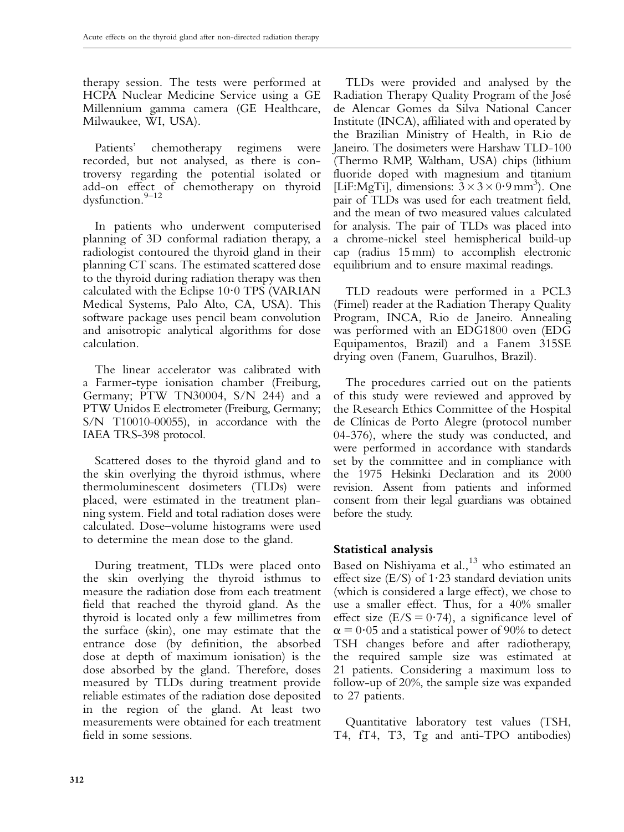therapy session. The tests were performed at HCPA Nuclear Medicine Service using a GE Millennium gamma camera (GE Healthcare, Milwaukee, WI, USA).

Patients' chemotherapy regimens were recorded, but not analysed, as there is controversy regarding the potential isolated or add-on effect of chemotherapy on thyroid dysfunction.<sup>9–12</sup>

In patients who underwent computerised planning of 3D conformal radiation therapy, a radiologist contoured the thyroid gland in their planning CT scans. The estimated scattered dose to the thyroid during radiation therapy was then calculated with the Eclipse  $10.0$  TPS (VARIAN Medical Systems, Palo Alto, CA, USA). This software package uses pencil beam convolution and anisotropic analytical algorithms for dose calculation.

The linear accelerator was calibrated with a Farmer-type ionisation chamber (Freiburg, Germany; PTW TN30004, S/N 244) and a PTW Unidos E electrometer (Freiburg, Germany; S/N T10010-00055), in accordance with the IAEA TRS-398 protocol.

Scattered doses to the thyroid gland and to the skin overlying the thyroid isthmus, where thermoluminescent dosimeters (TLDs) were placed, were estimated in the treatment planning system. Field and total radiation doses were calculated. Dose–volume histograms were used to determine the mean dose to the gland.

During treatment, TLDs were placed onto the skin overlying the thyroid isthmus to measure the radiation dose from each treatment field that reached the thyroid gland. As the thyroid is located only a few millimetres from the surface (skin), one may estimate that the entrance dose (by definition, the absorbed dose at depth of maximum ionisation) is the dose absorbed by the gland. Therefore, doses measured by TLDs during treatment provide reliable estimates of the radiation dose deposited in the region of the gland. At least two measurements were obtained for each treatment field in some sessions.

TLDs were provided and analysed by the Radiation Therapy Quality Program of the Jose´ de Alencar Gomes da Silva National Cancer Institute (INCA), affiliated with and operated by the Brazilian Ministry of Health, in Rio de Janeiro. The dosimeters were Harshaw TLD-100 (Thermo RMP, Waltham, USA) chips (lithium fluoride doped with magnesium and titanium [LiF:MgTi], dimensions:  $3 \times 3 \times 0.9$  mm<sup>3</sup>). One pair of TLDs was used for each treatment field, and the mean of two measured values calculated for analysis. The pair of TLDs was placed into a chrome-nickel steel hemispherical build-up cap (radius 15 mm) to accomplish electronic equilibrium and to ensure maximal readings.

TLD readouts were performed in a PCL3 (Fimel) reader at the Radiation Therapy Quality Program, INCA, Rio de Janeiro. Annealing was performed with an EDG1800 oven (EDG Equipamentos, Brazil) and a Fanem 315SE drying oven (Fanem, Guarulhos, Brazil).

The procedures carried out on the patients of this study were reviewed and approved by the Research Ethics Committee of the Hospital de Clínicas de Porto Alegre (protocol number 04-376), where the study was conducted, and were performed in accordance with standards set by the committee and in compliance with the 1975 Helsinki Declaration and its 2000 revision. Assent from patients and informed consent from their legal guardians was obtained before the study.

#### Statistical analysis

Based on Nishiyama et al.,<sup>[13](#page-6-0)</sup> who estimated an effect size  $(E/S)$  of 1.23 standard deviation units (which is considered a large effect), we chose to use a smaller effect. Thus, for a 40% smaller effect size  $(E/S = 0.74)$ , a significance level of  $\alpha$  = 0.05 and a statistical power of 90% to detect TSH changes before and after radiotherapy, the required sample size was estimated at 21 patients. Considering a maximum loss to follow-up of 20%, the sample size was expanded to 27 patients.

Quantitative laboratory test values (TSH, T4, fT4, T3, Tg and anti-TPO antibodies)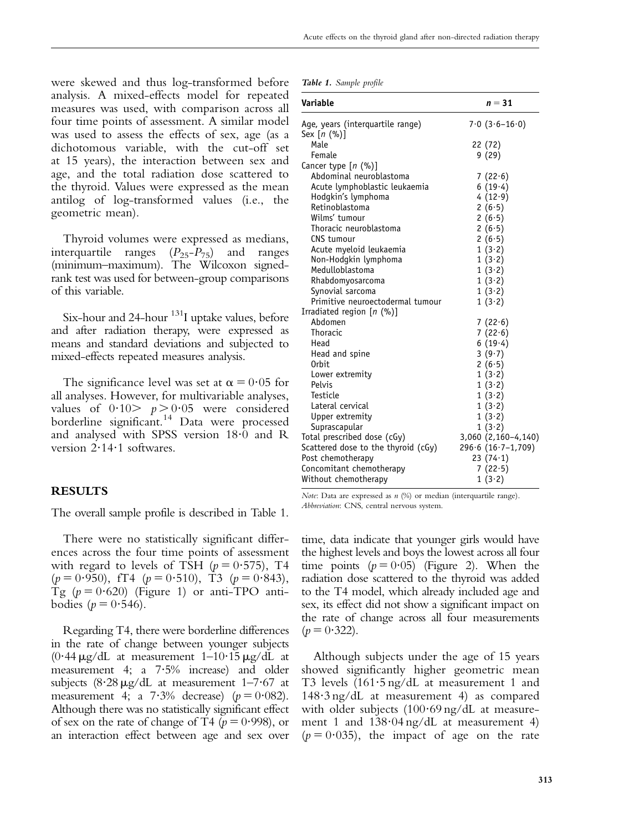Acute effects on the thyroid gland after non-directed radiation therapy

were skewed and thus log-transformed before analysis. A mixed-effects model for repeated measures was used, with comparison across all four time points of assessment. A similar model was used to assess the effects of sex, age (as a dichotomous variable, with the cut-off set at 15 years), the interaction between sex and age, and the total radiation dose scattered to the thyroid. Values were expressed as the mean antilog of log-transformed values (i.e., the geometric mean).

Thyroid volumes were expressed as medians, interquartile ranges  $(P_{25}-P_{75})$  and ranges (minimum–maximum). The Wilcoxon signedrank test was used for between-group comparisons of this variable.

Six-hour and 24-hour <sup>131</sup>I uptake values, before and after radiation therapy, were expressed as means and standard deviations and subjected to mixed-effects repeated measures analysis.

The significance level was set at  $\alpha = 0.05$  for all analyses. However, for multivariable analyses, values of  $0.10 > p > 0.05$  were considered borderline significant.[14](#page-6-0) Data were processed and analysed with SPSS version 18?0 and R version 2.14.1 softwares.

#### RESULTS

The overall sample profile is described in Table 1.

There were no statistically significant differences across the four time points of assessment with regard to levels of TSH ( $p = 0.575$ ), T4  $(p = 0.950)$ , fT4  $(p = 0.510)$ , T3  $(p = 0.843)$ , Tg  $(p = 0.620)$  [\(Figure 1\)](#page-4-0) or anti-TPO antibodies ( $p = 0.546$ ).

Regarding T4, there were borderline differences in the rate of change between younger subjects  $(0.44 \,\mathrm{\mu g/dL}$  at measurement 1–10.15  $\mu \mathrm{g/dL}$  at measurement 4; a  $7.5\%$  increase) and older subjects  $(8.28 \,\mu\text{g/dL})$  at measurement 1–7.67 at measurement 4; a  $7.3\%$  decrease) ( $p = 0.082$ ). Although there was no statistically significant effect of sex on the rate of change of T4 ( $p = 0.998$ ), or an interaction effect between age and sex over

|  |  | Table 1. Sample profile |  |
|--|--|-------------------------|--|
|--|--|-------------------------|--|

| Variable                            | $n = 31$               |
|-------------------------------------|------------------------|
| Age, years (interquartile range)    | $7.0(3.6-16.0)$        |
| Sex [n (%)]                         |                        |
| Male                                | 22 (72)                |
| Female                              | 9(29)                  |
| Cancer type [n (%)]                 |                        |
| Abdominal neuroblastoma             | 7(22.6)                |
| Acute lymphoblastic leukaemia       | 6(19.4)                |
| Hodgkin's lymphoma                  | 4(12.9)                |
| Retinoblastoma                      | 2(6.5)                 |
| Wilms' tumour                       | 2(6.5)                 |
| Thoracic neuroblastoma              | 2(6.5)                 |
| CNS tumour                          | 2(6.5)                 |
| Acute myeloid leukaemia             | 1(3.2)                 |
| Non-Hodgkin lymphoma                | 1(3.2)                 |
| Medulloblastoma                     | 1(3.2)                 |
| Rhabdomyosarcoma                    | 1(3.2)                 |
| Synovial sarcoma                    | 1(3.2)                 |
| Primitive neuroectodermal tumour    | 1(3.2)                 |
| Irradiated region [n (%)]           |                        |
| Abdomen                             | 7(22.6)                |
| Thoracic                            | 7(22.6)                |
| Head                                | 6(19.4)                |
| Head and spine                      | 3(9.7)                 |
| 0 <sub>rbit</sub>                   | 2(6.5)                 |
| Lower extremity                     | 1(3.2)                 |
| Pelvis                              | 1(3.2)                 |
| Testicle                            | 1(3.2)                 |
| Lateral cervical                    | 1(3.2)                 |
| Upper extremity                     | 1(3.2)                 |
| Suprascapular                       | 1(3.2)                 |
| Total prescribed dose (cGy)         | 3,060 (2,160-4,140)    |
| Scattered dose to the thyroid (cGy) | $296.6 (16.7 - 1,709)$ |
| Post chemotherapy                   | 23(74.1)               |
| Concomitant chemotherapy            | 7(22.5)                |
| Without chemotherapy                | 1(3.2)                 |

Note: Data are expressed as  $n$  (%) or median (interquartile range). Abbreviation: CNS, central nervous system.

time, data indicate that younger girls would have the highest levels and boys the lowest across all four time points  $(p = 0.05)$  [\(Figure 2](#page-4-0)). When the radiation dose scattered to the thyroid was added to the T4 model, which already included age and sex, its effect did not show a significant impact on the rate of change across all four measurements  $(p = 0.322)$ .

Although subjects under the age of 15 years showed significantly higher geometric mean T3 levels (161.5 ng/dL at measurement 1 and 148?3 ng/dL at measurement 4) as compared with older subjects  $(100.69 \text{ ng/dL at measure}$ ment 1 and  $138.04$  ng/dL at measurement 4)  $(p = 0.035)$ , the impact of age on the rate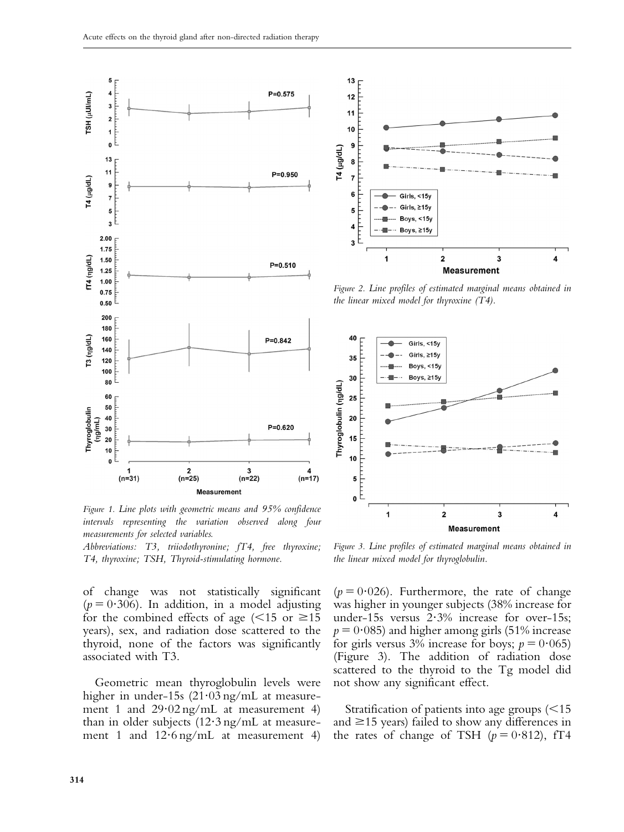<span id="page-4-0"></span>

Figure 1. Line plots with geometric means and 95% confidence intervals representing the variation observed along four measurements for selected variables.

Abbreviations: T3, triiodothyronine; fT4, free thyroxine; T4, thyroxine; TSH, Thyroid-stimulating hormone.

of change was not statistically significant  $(p = 0.306)$ . In addition, in a model adjusting for the combined effects of age ( $\leq 15$  or  $\geq 15$ years), sex, and radiation dose scattered to the thyroid, none of the factors was significantly associated with T3.

Geometric mean thyroglobulin levels were higher in under-15s  $(21.03 \text{ ng/mL})$  at measurement 1 and  $29.02 \text{ ng/mL}$  at measurement 4) than in older subjects  $(12.3 \text{ ng/mL}$  at measurement 1 and  $12.6$  ng/mL at measurement 4)



Figure 2. Line profiles of estimated marginal means obtained in the linear mixed model for thyroxine  $(T4)$ .



Figure 3. Line profiles of estimated marginal means obtained in the linear mixed model for thyroglobulin.

 $(p = 0.026)$ . Furthermore, the rate of change was higher in younger subjects (38% increase for under-15s versus  $2.3\%$  increase for over-15s;  $p = 0.085$ ) and higher among girls (51% increase for girls versus 3% increase for boys;  $p = 0.065$ ) (Figure 3). The addition of radiation dose scattered to the thyroid to the Tg model did not show any significant effect.

Stratification of patients into age groups  $\approx 15$ and  $\geq$ 15 years) failed to show any differences in the rates of change of TSH ( $p = 0.812$ ), fT4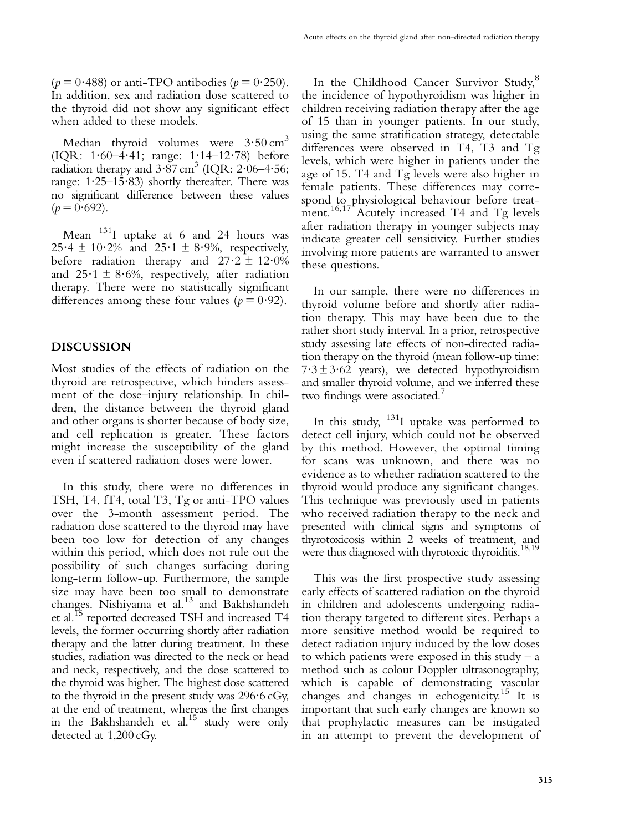$(p = 0.488)$  or anti-TPO antibodies  $(p = 0.250)$ . In addition, sex and radiation dose scattered to the thyroid did not show any significant effect when added to these models.

Median thyroid volumes were  $3.50 \text{ cm}^3$ (IQR: 1?60–4?41; range: 1?14–12?78) before radiation therapy and  $3.87 \text{ cm}^3$  (IQR:  $2.06-4.56$ ; range:  $1.25-15.83$ ) shortly thereafter. There was no significant difference between these values  $(p = 0.692)$ .

Mean 131I uptake at 6 and 24 hours was  $25.4 \pm 10.2\%$  and  $25.1 \pm 8.9\%$ , respectively, before radiation therapy and  $27.2 \pm 12.0\%$ and  $25.1 \pm 8.6\%$ , respectively, after radiation therapy. There were no statistically significant differences among these four values ( $p = 0.92$ ).

#### DISCUSSION

Most studies of the effects of radiation on the thyroid are retrospective, which hinders assessment of the dose–injury relationship. In children, the distance between the thyroid gland and other organs is shorter because of body size, and cell replication is greater. These factors might increase the susceptibility of the gland even if scattered radiation doses were lower.

In this study, there were no differences in TSH, T4, fT4, total T3, Tg or anti-TPO values over the 3-month assessment period. The radiation dose scattered to the thyroid may have been too low for detection of any changes within this period, which does not rule out the possibility of such changes surfacing during long-term follow-up. Furthermore, the sample size may have been too small to demonstrate changes. Nishiyama et al.<sup>[13](#page-6-0)</sup> and Bakhshandeh et al.[15](#page-6-0) reported decreased TSH and increased T4 levels, the former occurring shortly after radiation therapy and the latter during treatment. In these studies, radiation was directed to the neck or head and neck, respectively, and the dose scattered to the thyroid was higher. The highest dose scattered to the thyroid in the present study was  $296.6 \text{ cGy}$ , at the end of treatment, whereas the first changes in the Bakhshandeh et  $al^{15}$  study were only detected at 1,200 cGy.

In the Childhood Cancer Survivor Study,<sup>[8](#page-6-0)</sup> the incidence of hypothyroidism was higher in children receiving radiation therapy after the age of 15 than in younger patients. In our study, using the same stratification strategy, detectable differences were observed in T4, T3 and Tg levels, which were higher in patients under the age of 15. T4 and Tg levels were also higher in female patients. These differences may correspond to physiological behaviour before treat-ment.<sup>[16](#page-6-0),[17](#page-6-0)</sup> Acutely increased T4 and Tg levels after radiation therapy in younger subjects may indicate greater cell sensitivity. Further studies involving more patients are warranted to answer these questions.

In our sample, there were no differences in thyroid volume before and shortly after radiation therapy. This may have been due to the rather short study interval. In a prior, retrospective study assessing late effects of non-directed radiation therapy on the thyroid (mean follow-up time:  $7.3 \pm 3.62$  years), we detected hypothyroidism and smaller thyroid volume, and we inferred these two findings were associated.<sup>[7](#page-6-0)</sup>

In this study,  $131$  uptake was performed to detect cell injury, which could not be observed by this method. However, the optimal timing for scans was unknown, and there was no evidence as to whether radiation scattered to the thyroid would produce any significant changes. This technique was previously used in patients who received radiation therapy to the neck and presented with clinical signs and symptoms of thyrotoxicosis within 2 weeks of treatment, and were thus diagnosed with thyrotoxic thyroiditis.<sup>[18,19](#page-6-0)</sup>

This was the first prospective study assessing early effects of scattered radiation on the thyroid in children and adolescents undergoing radiation therapy targeted to different sites. Perhaps a more sensitive method would be required to detect radiation injury induced by the low doses to which patients were exposed in this study  $- a$ method such as colour Doppler ultrasonography, which is capable of demonstrating vascular changes and changes in echogenicity.[15](#page-6-0) It is important that such early changes are known so that prophylactic measures can be instigated in an attempt to prevent the development of